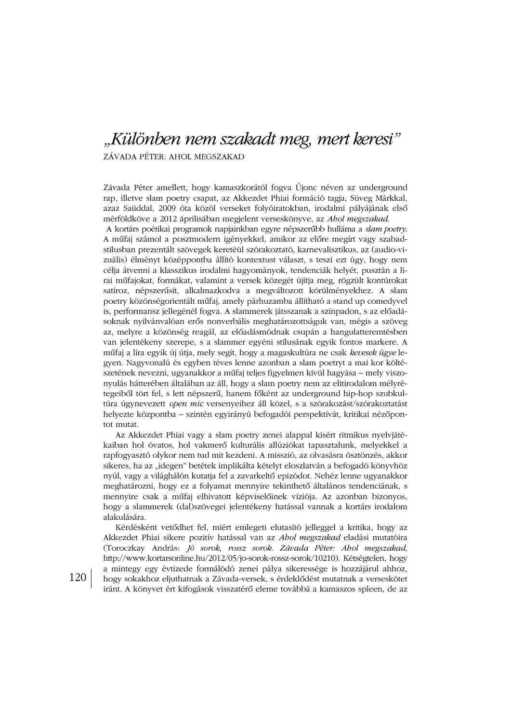## "Különben nem szakadt meg, mert keresi"

ZÁVADA PÉTER: AHOL MEGSZAKAD

Závada Péter amellett, hogy kamaszkorától fogya Újonc néven az underground rap, illetve slam poetry csapat, az Akkezdet Phiai formáció tagja, Süveg Márkkal, azaz Saiiddal, 2009 óta közöl verseket folyóiratokban, irodalmi pályájának első mérföldköve a 2012 áprilisában megjelent verseskönyve, az Ahol megszakad.

A kortárs poétikai programok napjainkban egyre népszerűbb hulláma a slam poetry. A műfaj számol a posztmodern igényekkel, amikor az előre megírt vagy szabadstílusban prezentált szövegek keretéül szórakoztató, karnevalisztikus, az (audio-vizuális) élményt középpontba állító kontextust választ, s teszi ezt úgy, hogy nem célja átvenni a klasszikus irodalmi hagyományok, tendenciák helyét, pusztán a lírai műfajokat, formákat, valamint a versek közegét újítja meg, rögzült kontúrokat satíroz, népszerűsít, alkalmazkodva a megváltozott körülményekhez. A slam poetry közönségorientált műfaj, amely párhuzamba állítható a stand up comedyvel is, performansz jellegénél fogva. A slammerek játsszanak a színpadon, s az előadásoknak nyilvánvalóan erős nonverbális meghatározottságuk van, mégis a szöveg az, melyre a közönség reagál, az előadásmódnak csupán a hangulatteremtésben van jelentékeny szerepe, s a slammer egyéni stílusának egyik fontos markere. A műfaj a líra egyik új útja, mely segít, hogy a magaskultúra ne csak kevesek ügye legyen. Nagyvonalú és egyben téves lenne azonban a slam poetryt a mai kor költészetének nevezni, ugyanakkor a műfaj teljes figyelmen kívül hagyása – mely viszonyulás hátterében általában az áll, hogy a slam poetry nem az elitirodalom mélyrétegeiből tört fel, s lett népszerű, hanem főként az underground hip-hop szubkultúra úgynevezett open mic versenyeihez áll közel, s a szórakozást/szórakoztatást helyezte központba – szintén egyirányú befogadói perspektívát, kritikai nézőpontot mutat.

Az Akkezdet Phiai vagy a slam poetry zenei alappal kísért ritmikus nyelvjátékaiban hol óvatos, hol vakmerő kulturális allúziókat tapasztalunk, melyekkel a rapfogyasztó olykor nem tud mit kezdeni. A misszió, az olvasásra ösztönzés, akkor sikeres, ha az "idegen" betétek implikálta kételyt eloszlatván a befogadó könyvhöz nyúl, vagy a világhálón kutatja fel a zavarkeltő epizódot. Nehéz lenne ugyanakkor meghatározni, hogy ez a folyamat mennyire tekinthető általános tendenciának, s mennyire csak a műfaj elhivatott képviselőinek víziója. Az azonban bizonyos, hogy a slammerek (dal)szövegei jelentékeny hatással vannak a kortárs irodalom alakulására.

Kérdésként vetődhet fel, miért emlegeti elutasító jelleggel a kritika, hogy az Akkezdet Phiai sikere pozitív hatással van az Ahol megszakad eladási mutatóira (Toroczkay András: Jó sorok, rossz sorok. Závada Péter: Ahol megszakad, http://www.kortarsonline.hu/2012/05/jo-sorok-rossz-sorok/10210). Kétségtelen, hogy a mintegy egy évtizede formálódó zenei pálya sikeressége is hozzájárul ahhoz, hogy sokakhoz eljuthatnak a Závada-versek, s érdeklődést mutatnak a verseskötet iránt. A könyvet ért kifogások visszatérő eleme továbbá a kamaszos spleen, de az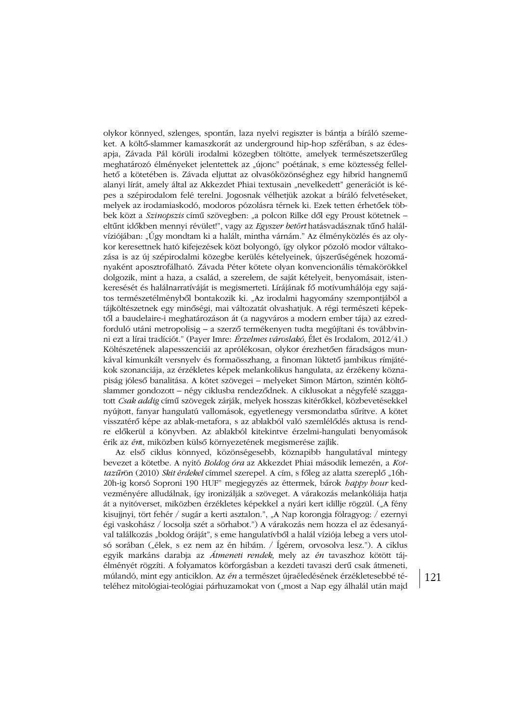olykor könnyed, szlenges, spontán, laza nyelvi regiszter is bántja a bíráló szemeket. A költő-slammer kamaszkorát az underground hip-hop szférában, s az édesapja, Závada Pál körüli irodalmi közegben töltötte, amelyek természetszerűleg meghatározó élményeket jelentettek az "újonc" poétának, s eme köztesség fellelhető a kötetében is. Závada eljuttat az olvasóközönséghez egy hibrid hangnemű alanyi lírát, amely által az Akkezdet Phiai textusain "nevelkedett" generációt is képes a szépirodalom felé terelni. Jogosnak vélhetjük azokat a bíráló felvetéseket, melyek az irodamiaskodó, modoros pózolásra térnek ki. Ezek tetten érhetőek többek közt a Szinopszis című szövegben: "a polcon Rilke dől egy Proust kötetnek – eltűnt időkben mennyi révület!", vagy az Egyszer betört hatásvadásznak tűnő halálvíziójában: "Úgy mondtam ki a halált, mintha várnám." Az élményközlés és az olykor keresettnek ható kifejezések közt bolyongó, így olykor pózoló modor váltakozása is az új szépirodalmi közegbe kerülés kételyeinek, újszerűségének hozományaként aposztrofálható. Závada Péter kötete olyan konvencionális témakörökkel dolgozik, mint a haza, a család, a szerelem, de saját kételyeit, benyomásait, istenkeresését és halálnarratíváját is megismerteti. Lírájának fő motívumhálója egy sajátos természetélményből bontakozik ki. "Az irodalmi hagyomány szempontjából a tájköltészetnek egy minőségi, mai változatát olvashatjuk. A régi természeti képektől a baudelaire-i meghatározáson át (a nagyváros a modern ember tája) az ezredforduló utáni metropolisig - a szerző termékenyen tudta megújítani és továbbvinni ezt a lírai tradíciót." (Paver Imre: Érzelmes városlakó, Élet és Irodalom, 2012/41.) Költészetének alapesszenciái az aprólékosan, olykor érezhetően fáradságos munkával kimunkált versnyelv és formaösszhang, a finoman lüktető jambikus rímjátékok szonanciája, az érzékletes képek melankolikus hangulata, az érzékeny köznapiság jóleső banalitása. A kötet szövegei – melyeket Simon Márton, szintén költőslammer gondozott – négy ciklusba rendeződnek. A ciklusokat a négyfelé szaggatott Csak addig című szövegek zárják, melyek hosszas kitérőkkel, közbevetésekkel nyújtott, fanyar hangulatú vallomások, egyetlenegy versmondatba sűrítve. A kötet visszatérő képe az ablak-metafora, s az ablakból való szemlélődés aktusa is rendre előkerül a könyvben. Az ablakból kitekintve érzelmi-hangulati benyomások érik az ént, miközben külső környezetének megismerése zajlik.

Az első ciklus könnyed, közönségesebb, köznapibb hangulatával mintegy bevezet a kötetbe. A nyitó Boldog óra az Akkezdet Phiai második lemezén, a Kottazűrön (2010) Skit érdekel címmel szerepel. A cím, s főleg az alatta szereplő "16h-20h-ig korsó Soproni 190 HUF" megjegyzés az éttermek, bárok happy hour kedvezményére alludálnak, így ironizálják a szöveget. A várakozás melankóliája hatja át a nyitóverset, miközben érzékletes képekkel a nyári kert idillje rögzül. ("A fény kisujjnyi, tört fehér / sugár a kerti asztalon.", "A Nap korongja fölragyog: / ezernyi égi vaskohász / locsolja szét a sörhabot.") A várakozás nem hozza el az édesanyával találkozás "boldog óráját", s eme hangulatívből a halál víziója lebeg a vers utolsó sorában ("élek, s ez nem az én hibám. / Ígérem, orvosolva lesz."). A ciklus egyik markáns darabja az *Átmeneti rendek*, mely az én tavaszhoz kötött tájélményét rögzíti. A folyamatos körforgásban a kezdeti tavaszi derű csak átmeneti, múlandó, mint egy anticiklon. Az én a természet újraéledésének érzékletesebbé tételéhez mitológiai-teológiai párhuzamokat von ("most a Nap egy álhalál után majd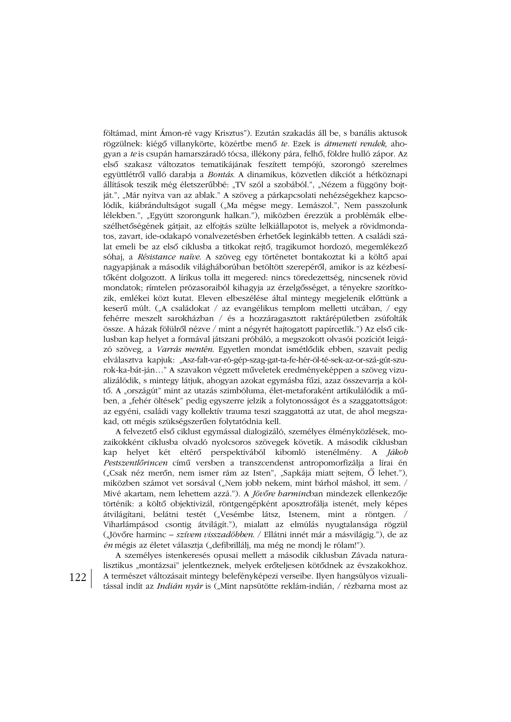föltámad, mint Ámon-ré vagy Krisztus"). Ezután szakadás áll be, s banális aktusok rögzülnek: kiégő villanykörte, közértbe menő te. Ezek is átmeneti rendek, ahogyan a te is csupán hamarszáradó tócsa, illékony pára, felhő, földre hulló zápor. Az első szakasz változatos tematikájának feszített tempójú, szorongó szerelmes együttlétről valló darabja a *Bontás*. A dinamikus, közvetlen dikciót a hétköznapi állítások teszik még életszerűbbé: "TV szól a szobából.", "Nézem a függöny bojtját.", "Már nyitva van az ablak." A szöveg a párkapcsolati nehézségekhez kapcsolódik, kiábrándultságot sugall ("Ma mégse megy. Lemászol.", Nem passzolunk lélekben.", "Együtt szorongunk halkan."), miközben érezzük a problémák elbeszélhetőségének gátjait, az elfojtás szülte lelkiállapotot is, melyek a rövidmondatos, zavart, ide-odakapó vonalvezetésben érhetőek leginkább tetten. A családi szálat emeli be az első ciklusba a titkokat rejtő, tragikumot hordozó, megemlékező sóhaj, a Résistance naïve. A szöveg egy történetet bontakoztat ki a költő apai nagyapjának a második világháborúban betöltött szerepéről, amikor is az kézbesítőként dolgozott. A lírikus tolla itt megered: nincs töredezettség, nincsenek rövid mondatok; rímtelen prózasoraiból kihagyja az érzelgősséget, a tényekre szorítkozik, emlékei közt kutat. Eleven elbeszélése által mintegy megjelenik előttünk a keserű múlt. ("A családokat / az evangélikus templom melletti utcában, / egy fehérre meszelt sarokházban / és a hozzáragasztott raktárépületben zsúfolták össze. A házak fölülről nézve / mint a négyrét hajtogatott papírcetlik.") Az első ciklusban kap helyet a formával játszani próbáló, a megszokott olvasói pozíciót leigázó szöveg, a Varrás mentén. Egyetlen mondat ismétlődik ebben, szavait pedig elválasztva kapjuk: "Asz-falt-var-ró-gép-szag-gat-ta-fe-hér-öl-té-sek-az-or-szá-gút-szurok-ka-bát-ján..." A szavakon végzett műveletek eredményeképpen a szöveg vizualizálódik, s mintegy látjuk, ahogyan azokat egymásba fűzi, azaz összevarrja a költő. A "országút" mint az utazás szimbóluma, élet-metaforaként artikulálódik a műben, a "fehér öltések" pedig egyszerre jelzik a folytonosságot és a szaggatottságot: az egyéni, családi vagy kollektív trauma teszi szaggatottá az utat, de ahol megszakad, ott mégis szükségszerűen folytatódnia kell.

A felvezető első ciklust egymással dialogizáló, személyes élményközlések, mozaikokként ciklusba olvadó nyolcsoros szövegek követik. A második ciklusban kap helyet két eltérő perspektívából kibomló istenélmény. A *Jákob* Pestszentlőrincen című versben a transzcendenst antropomorfizálja a lírai én ("Csak néz merőn, nem ismer rám az Isten", "Sapkája miatt sejtem, Ő lehet."), miközben számot vet sorsával ("Nem jobb nekem, mint bárhol máshol, itt sem. / Mivé akartam, nem lehettem azzá."). A *Jövőre harminc*ban mindezek ellenkezője történik: a költő objektivizál, röntgengépként aposztrofálja istenét, mely képes átvilágítani, belátni testét ("Vesémbe látsz, Istenem, mint a röntgen. / Viharlámpásod csontig átvilágít."), mialatt az elmúlás nyugtalansága rögzül ("Jövőre harminc – *szívem visszadöbben. / Ellátni innét már a másvilágig.*"), de az én mégis az életet választja ("defibrillálj, ma még ne mondj le rólam!").

A személyes istenkeresés opusai mellett a második ciklusban Závada naturalisztikus "montázsai" jelentkeznek, melyek erőteljesen kötődnek az évszakokhoz. A természet változásait mintegy belefényképezi verseibe. Ilyen hangsúlyos vizualitással indít az Indián nyár is ("Mint napsütötte reklám-indián, / rézbarna most az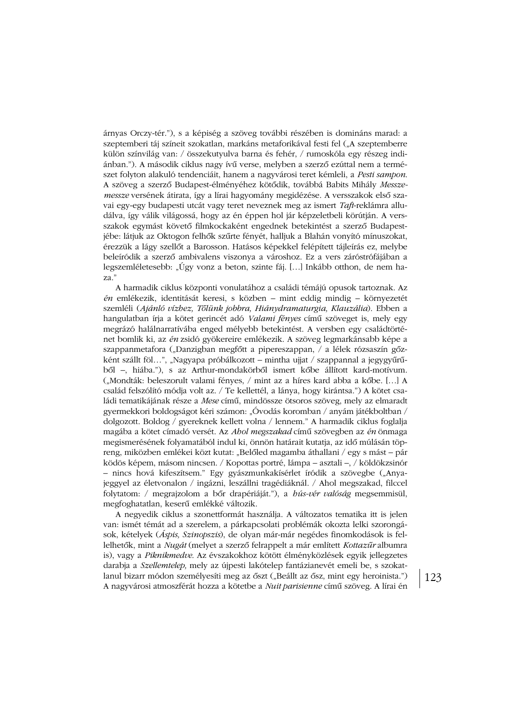árnyas Orczy-tér."), s a képiség a szöveg további részében is domináns marad: a szeptemberi táj színeit szokatlan, markáns metaforikával festi fel ("A szeptemberre külön színvilág van: / összekutyulva barna és fehér, / rumoskóla egy részeg indiánban."). A második ciklus nagy ívű verse, melyben a szerző ezúttal nem a természet folyton alakuló tendenciáit, hanem a nagyvárosi teret kémleli, a Pesti sampon. A szöveg a szerző Budapest-élményéhez kötődik, továbbá Babits Mihály Messzemessze versének átirata, így a lírai hagyomány megidézése. A versszakok első szavai egy-egy budapesti utcát vagy teret neveznek meg az ismert Taft-reklámra alludálva, így válik világossá, hogy az én éppen hol jár képzeletbeli körútján. A versszakok egymást követő filmkockaként engednek betekintést a szerző Budapestjébe: látjuk az Oktogon felhők szűrte fényét, halljuk a Blahán vonyító mínuszokat, érezzük a lágy szellőt a Barosson. Hatásos képekkel felépített tájleírás ez, melybe beleíródik a szerző ambivalens viszonya a városhoz. Ez a vers záróstrófájában a legszemléletesebb: "Úgy vonz a beton, szinte fáj. [...] Inkább otthon, de nem haza."

A harmadik ciklus központi vonulatához a családi témájú opusok tartoznak. Az én emlékezik, identitását keresi, s közben – mint eddig mindig – környezetét szemléli (Ajánló vízhez, Tőlünk jobbra, Hiánydramaturgia, Klauzália). Ebben a hangulatban írja a kötet gerincét adó Valami fényes című szöveget is, mely egy megrázó halálnarratívába enged mélyebb betekintést. A versben egy családtörténet bomlik ki, az én zsidó gyökereire emlékezik. A szöveg legmarkánsabb képe a szappanmetafora ("Danzigban megfőtt a pipereszappan, / a lélek rózsaszín gőzként szállt föl...", "Nagyapa próbálkozott – mintha ujjat / szappannal a jegygyűrűből -, hiába."), s az Arthur-mondakörből ismert kőbe állított kard-motívum. ("Mondták: beleszorult valami fényes, / mint az a híres kard abba a kőbe. [...] A család felszólító módja volt az. / Te kellettél, a lánya, hogy kirántsa.") A kötet családi tematikájának része a Mese című, mindössze ötsoros szöveg, mely az elmaradt gyermekkori boldogságot kéri számon: "Óvodás koromban / anyám játékboltban / dolgozott. Boldog / gyereknek kellett volna / lennem." A harmadik ciklus foglalja magába a kötet címadó versét. Az Ahol megszakad című szövegben az én önmaga megismerésének folyamatából indul ki, önnön határait kutatja, az idő múlásán töpreng, miközben emlékei közt kutat: "Belőled magamba áthallani / egy s mást – pár ködös képem, másom nincsen. / Kopottas portré, lámpa – asztali –, / köldökzsinór - nincs hová kifeszítsem." Egy gyászmunkakísérlet íródik a szövegbe ("Anyajeggyel az életvonalon / ingázni, leszállni tragédiáknál. / Ahol megszakad, filccel folytatom: / megrajzolom a bőr drapériáját."), a *hús-vér valóság* megsemmisül, megfoghatatlan, keserű emlékké változik.

A negyedik ciklus a szonettformát használja. A változatos tematika itt is jelen van: ismét témát ad a szerelem, a párkapcsolati problémák okozta lelki szorongások, kételyek (Áspis, Szinopszis), de olyan már-már negédes finomkodások is fellelhetők, mint a Nugát (melyet a szerző felrappelt a már említett Kottazűr albumra is), vagy a Piknikmedve. Az évszakokhoz kötött élményközlések egyik jellegzetes darabja a Szellemtelep, mely az újpesti lakótelep fantázianevét emeli be, s szokatlanul bizarr módon személyesíti meg az őszt ("Beállt az ősz, mint egy heroinista.") A nagyvárosi atmoszférát hozza a kötetbe a Nuit parisienne című szöveg. A lírai én